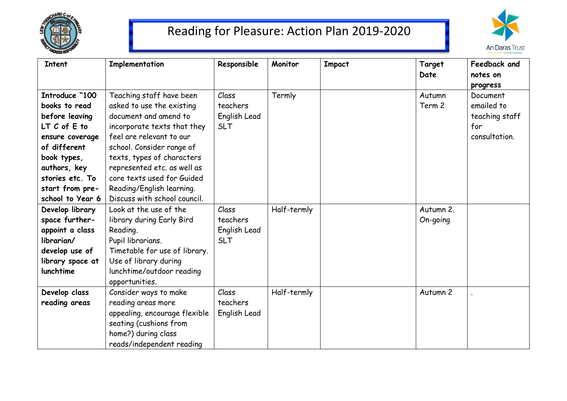

## Reading for Pleasure: Action Plan 2019-2020



| <b>Intent</b>      | Implementation                | Responsible  | Monitor     | <b>Impact</b> | Target<br>Date | Feedback and<br>notes on |
|--------------------|-------------------------------|--------------|-------------|---------------|----------------|--------------------------|
|                    |                               |              |             |               |                | progress                 |
| Introduce "100     | Teaching staff have been      | Class        | Termly      |               | Autumn         | Document                 |
| books to read      | asked to use the existing     | teachers     |             |               | Term 2         | emailed to               |
| before leaving     | document and amend to         | English Lead |             |               |                | teaching staff           |
| $LT$ $C$ of $E$ to | incorporate texts that they   | <b>SLT</b>   |             |               |                | for                      |
| ensure coverage    | feel are relevant to our      |              |             |               |                | consultation.            |
| of different       | school. Consider range of     |              |             |               |                |                          |
| book types,        | texts, types of characters    |              |             |               |                |                          |
| authors, key       | represented etc. as well as   |              |             |               |                |                          |
| stories etc. To    | core texts used for Guided    |              |             |               |                |                          |
| start from pre-    | Reading/English learning.     |              |             |               |                |                          |
| school to Year 6   | Discuss with school council.  |              |             |               |                |                          |
| Develop library    | Look at the use of the        | Class        | Half-termly |               | Autumn 2.      |                          |
| space further-     | library during Early Bird     | teachers     |             |               | On-going       |                          |
| appoint a class    | Reading.                      | English Lead |             |               |                |                          |
| librarian/         | Pupil librarians.             | <b>SLT</b>   |             |               |                |                          |
| develop use of     | Timetable for use of library. |              |             |               |                |                          |
| library space at   | Use of library during         |              |             |               |                |                          |
| lunchtime          | lunchtime/outdoor reading     |              |             |               |                |                          |
|                    | opportunities.                |              |             |               |                |                          |
| Develop class      | Consider ways to make         | Class        | Half-termly |               | Autumn 2       |                          |
| reading areas      | reading areas more            | teachers     |             |               |                |                          |
|                    | appealing, encourage flexible | English Lead |             |               |                |                          |
|                    | seating (cushions from        |              |             |               |                |                          |
|                    | home?) during class           |              |             |               |                |                          |
|                    | reads/independent reading     |              |             |               |                |                          |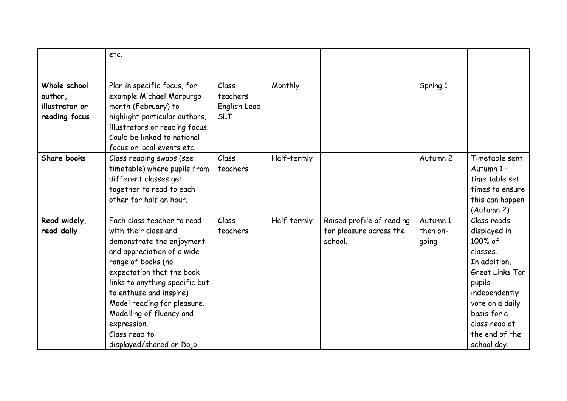|                                                            | etc.                                                                                                                                                                                                                                                                                                                                                  |                                                 |             |                                                                 |                               |                                                                                                                                                                                                      |
|------------------------------------------------------------|-------------------------------------------------------------------------------------------------------------------------------------------------------------------------------------------------------------------------------------------------------------------------------------------------------------------------------------------------------|-------------------------------------------------|-------------|-----------------------------------------------------------------|-------------------------------|------------------------------------------------------------------------------------------------------------------------------------------------------------------------------------------------------|
|                                                            |                                                                                                                                                                                                                                                                                                                                                       |                                                 |             |                                                                 |                               |                                                                                                                                                                                                      |
| Whole school<br>author,<br>illustrator or<br>reading focus | Plan in specific focus, for<br>example Michael Morpurgo<br>month (February) to<br>highlight particular authors,<br>illustrators or reading focus.<br>Could be linked to national<br>focus or local events etc.                                                                                                                                        | Class<br>teachers<br>English Lead<br><b>SLT</b> | Monthly     |                                                                 | Spring 1                      |                                                                                                                                                                                                      |
| Share books                                                | Class reading swaps (see<br>timetable) where pupils from<br>different classes get<br>together to read to each<br>other for half an hour.                                                                                                                                                                                                              | Class<br>teachers                               | Half-termly |                                                                 | Autumn 2                      | Timetable sent<br>Autumn 1 -<br>time table set<br>times to ensure<br>this can happen<br>(Autumn 2)                                                                                                   |
| Read widely,<br>read daily                                 | Each class teacher to read<br>with their class and<br>demonstrate the enjoyment<br>and appreciation of a wide<br>range of books (no<br>expectation that the book<br>links to anything specific but<br>to enthuse and inspire)<br>Model reading for pleasure.<br>Modelling of fluency and<br>expression.<br>Class read to<br>displayed/shared on Dojo. | Class<br>teachers                               | Half-termly | Raised profile of reading<br>for pleasure across the<br>school. | Autumn 1<br>then on-<br>going | Class reads<br>displayed in<br>100% of<br>classes.<br>In addition,<br>Great Links Tor<br>pupils<br>independently<br>vote on a daily<br>basis for a<br>class read at<br>the end of the<br>school day. |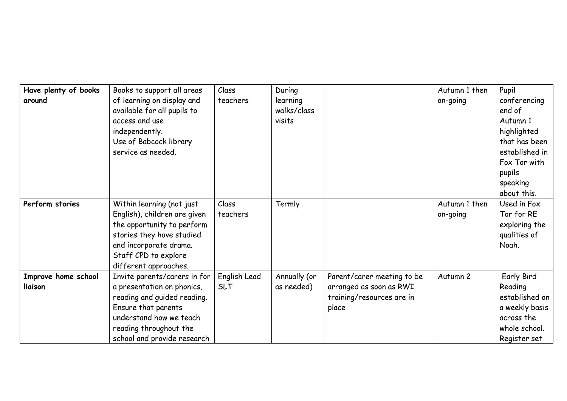| Have plenty of books<br>around | Books to support all areas<br>of learning on display and<br>available for all pupils to<br>access and use<br>independently.<br>Use of Babcock library<br>service as needed.                          | Class<br>teachers          | During<br>learning<br>walks/class<br>visits |                                                                                             | Autumn 1 then<br>on-going | Pupil<br>conferencing<br>end of<br>Autumn 1<br>highlighted<br>that has been<br>established in<br>Fox Tor with<br>pupils<br>speaking<br>about this. |
|--------------------------------|------------------------------------------------------------------------------------------------------------------------------------------------------------------------------------------------------|----------------------------|---------------------------------------------|---------------------------------------------------------------------------------------------|---------------------------|----------------------------------------------------------------------------------------------------------------------------------------------------|
| Perform stories                | Within learning (not just<br>English), children are given<br>the opportunity to perform<br>stories they have studied<br>and incorporate drama.<br>Staff CPD to explore<br>different approaches.      | Class<br>teachers          | Termly                                      |                                                                                             | Autumn 1 then<br>on-going | Used in Fox<br>Tor for RE<br>exploring the<br>qualities of<br>Noah.                                                                                |
| Improve home school<br>liaison | Invite parents/carers in for<br>a presentation on phonics,<br>reading and guided reading.<br>Ensure that parents<br>understand how we teach<br>reading throughout the<br>school and provide research | English Lead<br><b>SLT</b> | Annually (or<br>as needed)                  | Parent/carer meeting to be<br>arranged as soon as RWI<br>training/resources are in<br>place | Autumn 2                  | Early Bird<br>Reading<br>established on<br>a weekly basis<br>across the<br>whole school.<br>Register set                                           |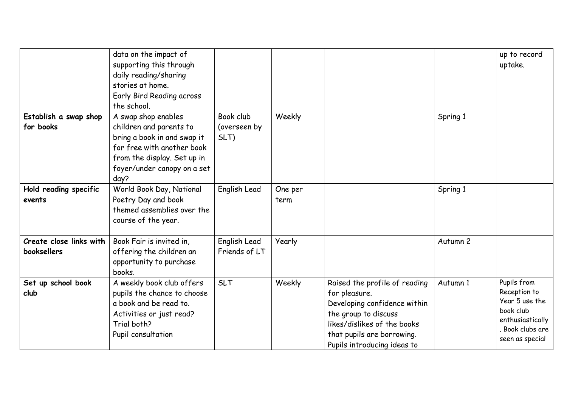|                                        | data on the impact of<br>supporting this through<br>daily reading/sharing<br>stories at home.<br>Early Bird Reading across<br>the school.                                         |                                   |                 |                                                                                                                                                                                                    |          | up to record<br>uptake.                                                                                               |
|----------------------------------------|-----------------------------------------------------------------------------------------------------------------------------------------------------------------------------------|-----------------------------------|-----------------|----------------------------------------------------------------------------------------------------------------------------------------------------------------------------------------------------|----------|-----------------------------------------------------------------------------------------------------------------------|
| Establish a swap shop<br>for books     | A swap shop enables<br>children and parents to<br>bring a book in and swap it<br>for free with another book<br>from the display. Set up in<br>foyer/under canopy on a set<br>day? | Book club<br>(overseen by<br>SLT) | Weekly          |                                                                                                                                                                                                    | Spring 1 |                                                                                                                       |
| Hold reading specific<br>events        | World Book Day, National<br>Poetry Day and book<br>themed assemblies over the<br>course of the year.                                                                              | English Lead                      | One per<br>term |                                                                                                                                                                                                    | Spring 1 |                                                                                                                       |
| Create close links with<br>booksellers | Book Fair is invited in,<br>offering the children an<br>opportunity to purchase<br>books.                                                                                         | English Lead<br>Friends of LT     | Yearly          |                                                                                                                                                                                                    | Autumn 2 |                                                                                                                       |
| Set up school book<br>club             | A weekly book club offers<br>pupils the chance to choose<br>a book and be read to.<br>Activities or just read?<br>Trial both?<br>Pupil consultation                               | <b>SLT</b>                        | Weekly          | Raised the profile of reading<br>for pleasure.<br>Developing confidence within<br>the group to discuss<br>likes/dislikes of the books<br>that pupils are borrowing.<br>Pupils introducing ideas to | Autumn 1 | Pupils from<br>Reception to<br>Year 5 use the<br>book club<br>enthusiastically<br>. Book clubs are<br>seen as special |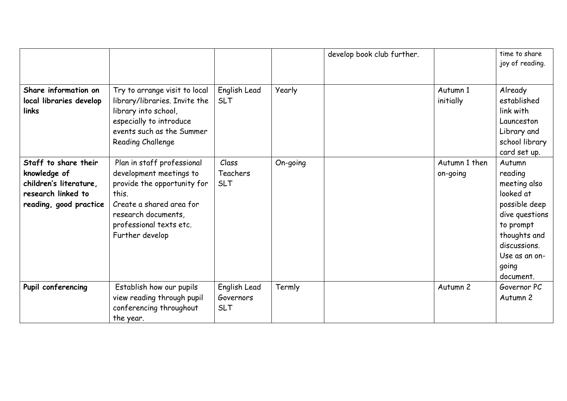|                                                                                                                |                                                                                                                                                                                                |                                         |          | develop book club further. |                           | time to share<br>joy of reading.                                                                                                                                      |
|----------------------------------------------------------------------------------------------------------------|------------------------------------------------------------------------------------------------------------------------------------------------------------------------------------------------|-----------------------------------------|----------|----------------------------|---------------------------|-----------------------------------------------------------------------------------------------------------------------------------------------------------------------|
| Share information on<br>local libraries develop<br>links                                                       | Try to arrange visit to local<br>library/libraries. Invite the<br>library into school,<br>especially to introduce<br>events such as the Summer<br>Reading Challenge                            | English Lead<br><b>SLT</b>              | Yearly   |                            | Autumn 1<br>initially     | Already<br>established<br>link with<br>Launceston<br>Library and<br>school library<br>card set up.                                                                    |
| Staff to share their<br>knowledge of<br>children's literature,<br>research linked to<br>reading, good practice | Plan in staff professional<br>development meetings to<br>provide the opportunity for<br>this.<br>Create a shared area for<br>research documents,<br>professional texts etc.<br>Further develop | Class<br>Teachers<br><b>SLT</b>         | On-going |                            | Autumn 1 then<br>on-going | Autumn<br>reading<br>meeting also<br>looked at<br>possible deep<br>dive questions<br>to prompt<br>thoughts and<br>discussions.<br>Use as an on-<br>going<br>document. |
| Pupil conferencing                                                                                             | Establish how our pupils<br>view reading through pupil<br>conferencing throughout<br>the year.                                                                                                 | English Lead<br>Governors<br><b>SLT</b> | Termly   |                            | Autumn 2                  | Governor PC<br>Autumn 2                                                                                                                                               |